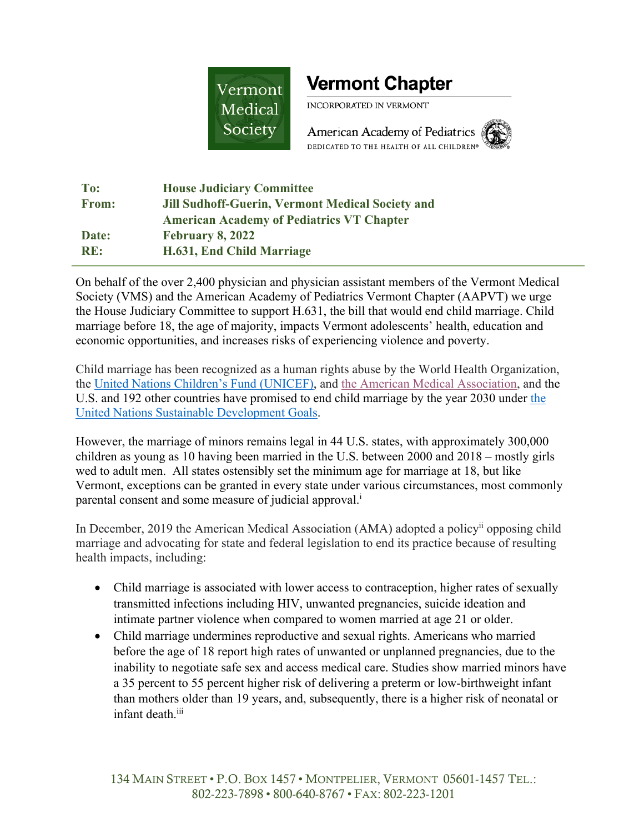

## **Vermont Chapter**

INCORPORATED IN VERMONT

American Academy of Pediatrics DEDICATED TO THE HEALTH OF ALL CHILDREN®



| To:          | <b>House Judiciary Committee</b>                 |
|--------------|--------------------------------------------------|
| <b>From:</b> | Jill Sudhoff-Guerin, Vermont Medical Society and |
|              | <b>American Academy of Pediatrics VT Chapter</b> |
| Date:        | <b>February 8, 2022</b>                          |
| RE:          | H.631, End Child Marriage                        |

On behalf of the over 2,400 physician and physician assistant members of the Vermont Medical Society (VMS) and the American Academy of Pediatrics Vermont Chapter (AAPVT) we urge the House Judiciary Committee to support H.631, the bill that would end child marriage. Child marriage before 18, the age of majority, impacts Vermont adolescents' health, education and economic opportunities, and increases risks of experiencing violence and poverty.

Child marriage has been recognized as a human rights abuse by the World Health Organization, the United Nations Children's Fund (UNICEF), and the American Medical Association, and the U.S. and 192 other countries have promised to end child marriage by the year 2030 under the United Nations Sustainable Development Goals.

However, the marriage of minors remains legal in 44 U.S. states, with approximately 300,000 children as young as 10 having been married in the U.S. between 2000 and 2018 – mostly girls wed to adult men. All states ostensibly set the minimum age for marriage at 18, but like Vermont, exceptions can be granted in every state under various circumstances, most commonly parental consent and some measure of judicial approval.<sup>i</sup>

In December, 2019 the American Medical Association (AMA) adopted a policy<sup>ii</sup> opposing child marriage and advocating for state and federal legislation to end its practice because of resulting health impacts, including:

- Child marriage is associated with lower access to contraception, higher rates of sexually transmitted infections including HIV, unwanted pregnancies, suicide ideation and intimate partner violence when compared to women married at age 21 or older.
- Child marriage undermines reproductive and sexual rights. Americans who married before the age of 18 report high rates of unwanted or unplanned pregnancies, due to the inability to negotiate safe sex and access medical care. Studies show married minors have a 35 percent to 55 percent higher risk of delivering a preterm or low-birthweight infant than mothers older than 19 years, and, subsequently, there is a higher risk of neonatal or infant death.<sup>iii</sup>